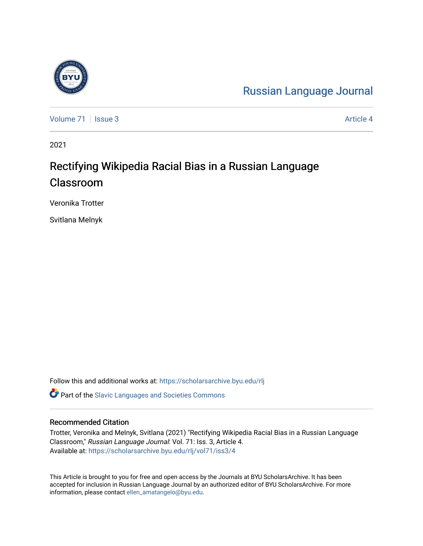## [Russian Language Journal](https://scholarsarchive.byu.edu/rlj)

[Volume 71](https://scholarsarchive.byu.edu/rlj/vol71) | [Issue 3](https://scholarsarchive.byu.edu/rlj/vol71/iss3) Article 4

2021

# Rectifying Wikipedia Racial Bias in a Russian Language Classroom

Veronika Trotter

Svitlana Melnyk

Follow this and additional works at: [https://scholarsarchive.byu.edu/rlj](https://scholarsarchive.byu.edu/rlj?utm_source=scholarsarchive.byu.edu%2Frlj%2Fvol71%2Fiss3%2F4&utm_medium=PDF&utm_campaign=PDFCoverPages)

**C** Part of the Slavic Languages and Societies Commons

#### Recommended Citation

Trotter, Veronika and Melnyk, Svitlana (2021) "Rectifying Wikipedia Racial Bias in a Russian Language Classroom," Russian Language Journal: Vol. 71: Iss. 3, Article 4. Available at: [https://scholarsarchive.byu.edu/rlj/vol71/iss3/4](https://scholarsarchive.byu.edu/rlj/vol71/iss3/4?utm_source=scholarsarchive.byu.edu%2Frlj%2Fvol71%2Fiss3%2F4&utm_medium=PDF&utm_campaign=PDFCoverPages) 

This Article is brought to you for free and open access by the Journals at BYU ScholarsArchive. It has been accepted for inclusion in Russian Language Journal by an authorized editor of BYU ScholarsArchive. For more information, please contact [ellen\\_amatangelo@byu.edu.](mailto:ellen_amatangelo@byu.edu)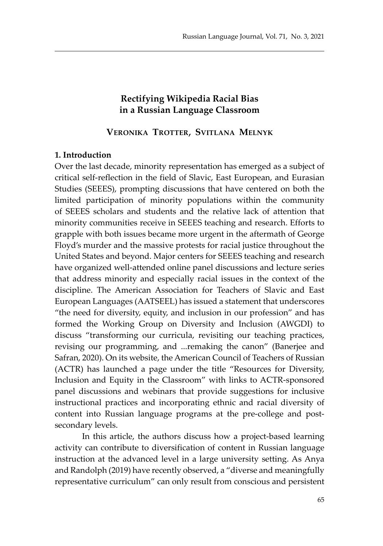### **Rectifying Wikipedia Racial Bias in a Russian Language Classroom**

#### **Veronika Trotter, Svitlana Melnyk**

#### **1. Introduction**

Over the last decade, minority representation has emerged as a subject of critical self-reflection in the field of Slavic, East European, and Eurasian Studies (SEEES), prompting discussions that have centered on both the limited participation of minority populations within the community of SEEES scholars and students and the relative lack of attention that minority communities receive in SEEES teaching and research. Efforts to grapple with both issues became more urgent in the aftermath of George Floyd's murder and the massive protests for racial justice throughout the United States and beyond. Major centers for SEEES teaching and research have organized well-attended online panel discussions and lecture series that address minority and especially racial issues in the context of the discipline. The American Association for Teachers of Slavic and East European Languages (AATSEEL) has issued a statement that underscores "the need for diversity, equity, and inclusion in our profession" and has formed the Working Group on Diversity and Inclusion (AWGDI) to discuss "transforming our curricula, revisiting our teaching practices, revising our programming, and ...remaking the canon" (Banerjee and Safran, 2020). On its website, the American Council of Teachers of Russian (ACTR) has launched a page under the title "Resources for Diversity, Inclusion and Equity in the Classroom" with links to ACTR-sponsored panel discussions and webinars that provide suggestions for inclusive instructional practices and incorporating ethnic and racial diversity of content into Russian language programs at the pre-college and postsecondary levels.

In this article, the authors discuss how a project-based learning activity can contribute to diversification of content in Russian language instruction at the advanced level in a large university setting. As Anya and Randolph (2019) have recently observed, a "diverse and meaningfully representative curriculum" can only result from conscious and persistent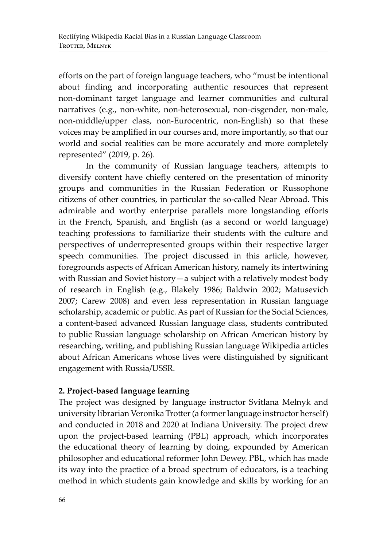efforts on the part of foreign language teachers, who "must be intentional about finding and incorporating authentic resources that represent non-dominant target language and learner communities and cultural narratives (e.g., non-white, non-heterosexual, non-cisgender, non-male, non-middle/upper class, non-Eurocentric, non-English) so that these voices may be amplified in our courses and, more importantly, so that our world and social realities can be more accurately and more completely represented" (2019, p. 26).

In the community of Russian language teachers, attempts to diversify content have chiefly centered on the presentation of minority groups and communities in the Russian Federation or Russophone citizens of other countries, in particular the so-called Near Abroad. This admirable and worthy enterprise parallels more longstanding efforts in the French, Spanish, and English (as a second or world language) teaching professions to familiarize their students with the culture and perspectives of underrepresented groups within their respective larger speech communities. The project discussed in this article, however, foregrounds aspects of African American history, namely its intertwining with Russian and Soviet history—a subject with a relatively modest body of research in English (e.g., Blakely 1986; Baldwin 2002; Matusevich 2007; Carew 2008) and even less representation in Russian language scholarship, academic or public. As part of Russian for the Social Sciences, a content-based advanced Russian language class, students contributed to public Russian language scholarship on African American history by researching, writing, and publishing Russian language Wikipedia articles about African Americans whose lives were distinguished by significant engagement with Russia/USSR.

## **2. Project-based language learning**

The project was designed by language instructor Svitlana Melnyk and university librarian Veronika Trotter (a former language instructor herself) and conducted in 2018 and 2020 at Indiana University. The project drew upon the project-based learning (PBL) approach, which incorporates the educational theory of learning by doing, expounded by American philosopher and educational reformer John Dewey. PBL, which has made its way into the practice of a broad spectrum of educators, is a teaching method in which students gain knowledge and skills by working for an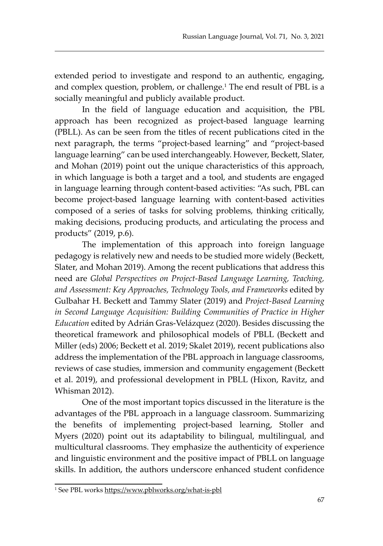extended period to investigate and respond to an authentic, engaging, and complex question, problem, or challenge.<sup>1</sup> The end result of PBL is a socially meaningful and publicly available product.

In the field of language education and acquisition, the PBL approach has been recognized as project-based language learning (PBLL). As can be seen from the titles of recent publications cited in the next paragraph, the terms "project-based learning" and "project-based language learning" can be used interchangeably. However, Beckett, Slater, and Mohan (2019) point out the unique characteristics of this approach, in which language is both a target and a tool, and students are engaged in language learning through content-based activities: "As such, PBL can become project-based language learning with content-based activities composed of a series of tasks for solving problems, thinking critically, making decisions, producing products, and articulating the process and products" (2019, p.6).

The implementation of this approach into foreign language pedagogy is relatively new and needs to be studied more widely (Beckett, Slater, and Mohan 2019). Among the recent publications that address this need are *Global Perspectives on Project-Based Language Learning, Teaching, and Assessment: Key Approaches, Technology Tools, and Frameworks* edited by Gulbahar H. Beckett and Tammy Slater (2019) and *Project-Based Learning in Second Language Acquisition: Building Communities of Practice in Higher Education* edited by Adrián Gras-Velázquez (2020). Besides discussing the theoretical framework and philosophical models of PBLL (Beckett and Miller (eds) 2006; Beckett et al. 2019; Skalet 2019), recent publications also address the implementation of the PBL approach in language classrooms, reviews of case studies, immersion and community engagement (Beckett et al. 2019), and professional development in PBLL (Hixon, Ravitz, and Whisman 2012).

One of the most important topics discussed in the literature is the advantages of the PBL approach in a language classroom. Summarizing the benefits of implementing project-based learning, Stoller and Myers (2020) point out its adaptability to bilingual, multilingual, and multicultural classrooms. They emphasize the authenticity of experience and linguistic environment and the positive impact of PBLL on language skills. In addition, the authors underscore enhanced student confidence

<sup>&</sup>lt;sup>1</sup> See PBL works https://www.pblworks.org/what-is-pbl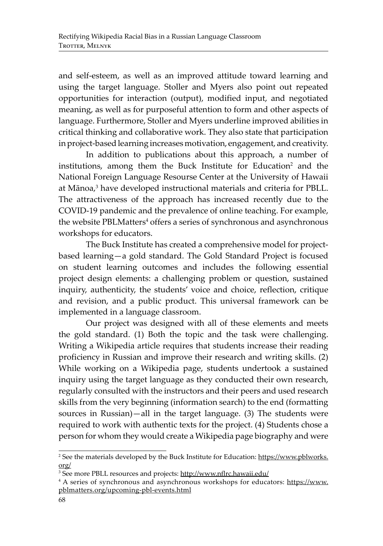and self-esteem, as well as an improved attitude toward learning and using the target language. Stoller and Myers also point out repeated opportunities for interaction (output), modified input, and negotiated meaning, as well as for purposeful attention to form and other aspects of language. Furthermore, Stoller and Myers underline improved abilities in critical thinking and collaborative work. They also state that participation in project-based learning increases motivation, engagement, and creativity.

In addition to publications about this approach, a number of institutions, among them the Buck Institute for Education<sup>2</sup> and the National Foreign Language Resourse Center at the University of Hawaii at Mānoa,<sup>3</sup> have developed instructional materials and criteria for PBLL. The attractiveness of the approach has increased recently due to the COVID-19 pandemic and the prevalence of online teaching. For example, the website PBLMatters<sup>4</sup> offers a series of synchronous and asynchronous workshops for educators.

The Buck Institute has created a comprehensive model for projectbased learning—a gold standard. The Gold Standard Project is focused on student learning outcomes and includes the following essential project design elements: a challenging problem or question, sustained inquiry, authenticity, the students' voice and choice, reflection, critique and revision, and a public product. This universal framework can be implemented in a language classroom.

Our project was designed with all of these elements and meets the gold standard. (1) Both the topic and the task were challenging. Writing a Wikipedia article requires that students increase their reading proficiency in Russian and improve their research and writing skills. (2) While working on a Wikipedia page, students undertook a sustained inquiry using the target language as they conducted their own research, regularly consulted with the instructors and their peers and used research skills from the very beginning (information search) to the end (formatting sources in Russian)—all in the target language. (3) The students were required to work with authentic texts for the project. (4) Students chose a person for whom they would create a Wikipedia page biography and were

<sup>&</sup>lt;sup>2</sup> See the materials developed by the Buck Institute for Education: <u>https://www.pblworks.</u> org/

<sup>&</sup>lt;sup>3</sup> See more PBLL resources and projects: <u>http://www.nflrc.hawaii.edu/</u>

<sup>&</sup>lt;sup>4</sup> A series of synchronous and asynchronous workshops for educators: https://www. pblmatters.org/upcoming-pbl-events.html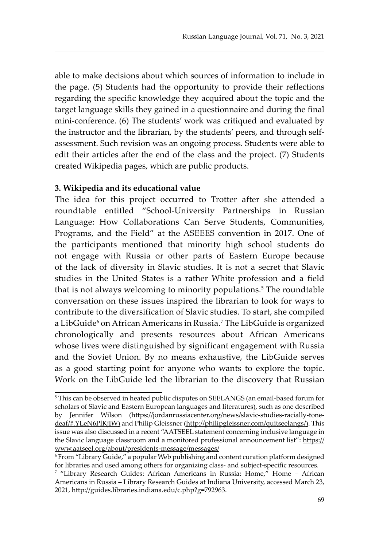able to make decisions about which sources of information to include in the page. (5) Students had the opportunity to provide their reflections regarding the specific knowledge they acquired about the topic and the target language skills they gained in a questionnaire and during the final mini-conference. (6) The students' work was critiqued and evaluated by the instructor and the librarian, by the students' peers, and through selfassessment. Such revision was an ongoing process. Students were able to edit their articles after the end of the class and the project. (7) Students created Wikipedia pages, which are public products.

#### **3. Wikipedia and its educational value**

The idea for this project occurred to Trotter after she attended a roundtable entitled "School-University Partnerships in Russian Language: How Collaborations Can Serve Students, Communities, Programs, and the Field" at the ASEEES convention in 2017. One of the participants mentioned that minority high school students do not engage with Russia or other parts of Eastern Europe because of the lack of diversity in Slavic studies. It is not a secret that Slavic studies in the United States is a rather White profession and a field that is not always welcoming to minority populations.<sup>5</sup> The roundtable conversation on these issues inspired the librarian to look for ways to contribute to the diversification of Slavic studies. To start, she compiled a LibGuide<sup>6</sup> on African Americans in Russia.<sup>7</sup> The LibGuide is organized chronologically and presents resources about African Americans whose lives were distinguished by significant engagement with Russia and the Soviet Union. By no means exhaustive, the LibGuide serves as a good starting point for anyone who wants to explore the topic. Work on the LibGuide led the librarian to the discovery that Russian

<sup>5</sup> This can be observed in heated public disputes on SEELANGS (an email-based forum for scholars of Slavic and Eastern European languages and literatures), such as one described by Jennifer Wilson (https://jordanrussiacenter.org/news/slavic-studies-racially-tonedeaf/#.YLeN6PlKjIW) and Philip Gleissner (http://philipgleissner.com/quitseelangs/). This issue was also discussed in a recent "AATSEEL statement concerning inclusive language in the Slavic language classroom and a monitored professional announcement list": https:// www.aatseel.org/about/presidents-message/messages/

<sup>6</sup> From "Library Guide," a popular Web publishing and content curation platform designed for libraries and used among others for organizing class- and subject-specific resources.

<sup>7</sup> "Library Research Guides: African Americans in Russia: Home," Home – African Americans in Russia – Library Research Guides at Indiana University, accessed March 23, 2021, http://guides.libraries.indiana.edu/c.php?g=792963.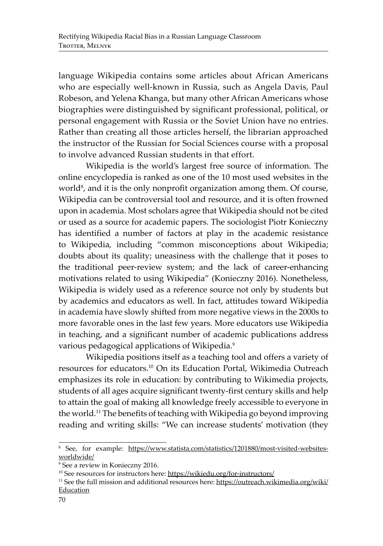language Wikipedia contains some articles about African Americans who are especially well-known in Russia, such as Angela Davis, Paul Robeson, and Yelena Khanga, but many other African Americans whose biographies were distinguished by significant professional, political, or personal engagement with Russia or the Soviet Union have no entries. Rather than creating all those articles herself, the librarian approached the instructor of the Russian for Social Sciences course with a proposal to involve advanced Russian students in that effort.

Wikipedia is the world's largest free source of information. The online encyclopedia is ranked as one of the 10 most used websites in the world<sup>8</sup>, and it is the only nonprofit organization among them. Of course, Wikipedia can be controversial tool and resource, and it is often frowned upon in academia. Most scholars agree that Wikipedia should not be cited or used as a source for academic papers. The sociologist Piotr Konieczny has identified a number of factors at play in the academic resistance to Wikipedia, including "common misconceptions about Wikipedia; doubts about its quality; uneasiness with the challenge that it poses to the traditional peer-review system; and the lack of career-enhancing motivations related to using Wikipedia" (Konieczny 2016). Nonetheless, Wikipedia is widely used as a reference source not only by students but by academics and educators as well. In fact, attitudes toward Wikipedia in academia have slowly shifted from more negative views in the 2000s to more favorable ones in the last few years. More educators use Wikipedia in teaching, and a significant number of academic publications address various pedagogical applications of Wikipedia.<sup>9</sup>

Wikipedia positions itself as a teaching tool and offers a variety of resources for educators.<sup>10</sup> On its Education Portal, Wikimedia Outreach emphasizes its role in education: by contributing to Wikimedia projects, students of all ages acquire significant twenty-first century skills and help to attain the goal of making all knowledge freely accessible to everyone in the world.<sup>11</sup> The benefits of teaching with Wikipedia go beyond improving reading and writing skills: "We can increase students' motivation (they

<sup>&</sup>lt;sup>8</sup> See, for example: https://www.statista.com/statistics/1201880/most-visited-websitesworldwide/

<sup>9</sup> See a review in Konieczny 2016.

<sup>&</sup>lt;sup>10</sup> See resources for instructors here: https://wikiedu.org/for-instructors/

<sup>&</sup>lt;sup>11</sup> See the full mission and additional resources here: https://outreach.wikimedia.org/wiki/ Education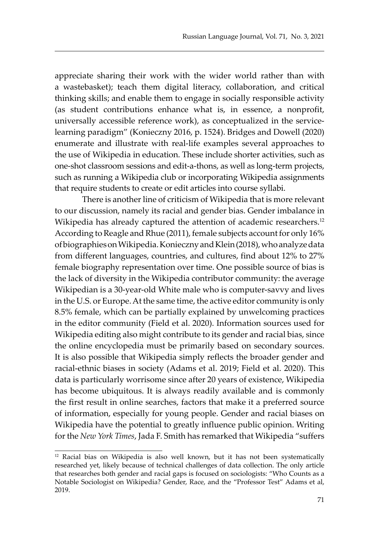appreciate sharing their work with the wider world rather than with a wastebasket); teach them digital literacy, collaboration, and critical thinking skills; and enable them to engage in socially responsible activity (as student contributions enhance what is, in essence, a nonprofit, universally accessible reference work), as conceptualized in the servicelearning paradigm" (Konieczny 2016, p. 1524). Bridges and Dowell (2020) enumerate and illustrate with real-life examples several approaches to the use of Wikipedia in education. These include shorter activities, such as one-shot classroom sessions and edit-a-thons, as well as long-term projects, such as running a Wikipedia club or incorporating Wikipedia assignments that require students to create or edit articles into course syllabi.

There is another line of criticism of Wikipedia that is more relevant to our discussion, namely its racial and gender bias. Gender imbalance in Wikipedia has already captured the attention of academic researchers.<sup>12</sup> According to Reagle and Rhue (2011), female subjects account for only 16% of biographies on Wikipedia. Konieczny and Klein (2018), who analyze data from different languages, countries, and cultures, find about 12% to 27% female biography representation over time. One possible source of bias is the lack of diversity in the Wikipedia contributor community: the average Wikipedian is a 30-year-old White male who is computer-savvy and lives in the U.S. or Europe. At the same time, the active editor community is only 8.5% female, which can be partially explained by unwelcoming practices in the editor community (Field et al. 2020). Information sources used for Wikipedia editing also might contribute to its gender and racial bias, since the online encyclopedia must be primarily based on secondary sources. It is also possible that Wikipedia simply reflects the broader gender and racial-ethnic biases in society (Adams et al. 2019; Field et al. 2020). This data is particularly worrisome since after 20 years of existence, Wikipedia has become ubiquitous. It is always readily available and is commonly the first result in online searches, factors that make it a preferred source of information, especially for young people. Gender and racial biases on Wikipedia have the potential to greatly influence public opinion. Writing for the *New York Times*, Jada F. Smith has remarked that Wikipedia "suffers

 $12$  Racial bias on Wikipedia is also well known, but it has not been systematically researched yet, likely because of technical challenges of data collection. The only article that researches both gender and racial gaps is focused on sociologists: "Who Counts as a Notable Sociologist on Wikipedia? Gender, Race, and the "Professor Test" Adams et al, 2019.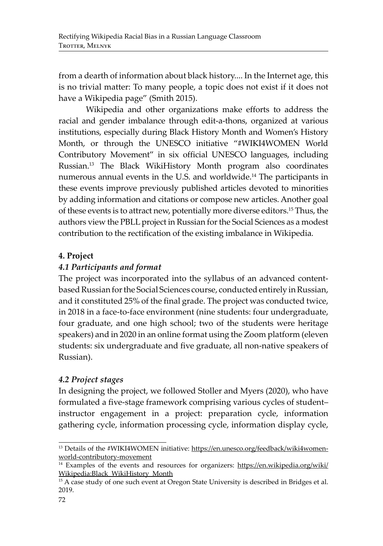from a dearth of information about black history.... In the Internet age, this is no trivial matter: To many people, a topic does not exist if it does not have a Wikipedia page" (Smith 2015).

Wikipedia and other organizations make efforts to address the racial and gender imbalance through edit-a-thons, organized at various institutions, especially during Black History Month and Women's History Month, or through the UNESCO initiative "#WIKI4WOMEN World Contributory Movement" in six official UNESCO languages, including Russian.<sup>13</sup> The Black WikiHistory Month program also coordinates numerous annual events in the U.S. and worldwide.14 The participants in these events improve previously published articles devoted to minorities by adding information and citations or compose new articles. Another goal of these events is to attract new, potentially more diverse editors.15 Thus, the authors view the PBLL project in Russian for the Social Sciences as a modest contribution to the rectification of the existing imbalance in Wikipedia.

## **4. Project**

## *4.1 Participants and format*

The project was incorporated into the syllabus of an advanced contentbased Russian for the Social Sciences course, conducted entirely in Russian, and it constituted 25% of the final grade. The project was conducted twice, in 2018 in a face-to-face environment (nine students: four undergraduate, four graduate, and one high school; two of the students were heritage speakers) and in 2020 in an online format using the Zoom platform (eleven students: six undergraduate and five graduate, all non-native speakers of Russian).

## *4.2 Project stages*

In designing the project, we followed Stoller and Myers (2020), who have formulated a five-stage framework comprising various cycles of student– instructor engagement in a project: preparation cycle, information gathering cycle, information processing cycle, information display cycle,

<sup>&</sup>lt;sup>13</sup> Details of the #WIKI4WOMEN initiative: https://en.unesco.org/feedback/wiki4womenworld-contributory-movement

<sup>&</sup>lt;sup>14</sup> Examples of the events and resources for organizers: https://en.wikipedia.org/wiki/ Wikipedia:Black\_WikiHistory\_Month

<sup>&</sup>lt;sup>15</sup> A case study of one such event at Oregon State University is described in Bridges et al. 2019.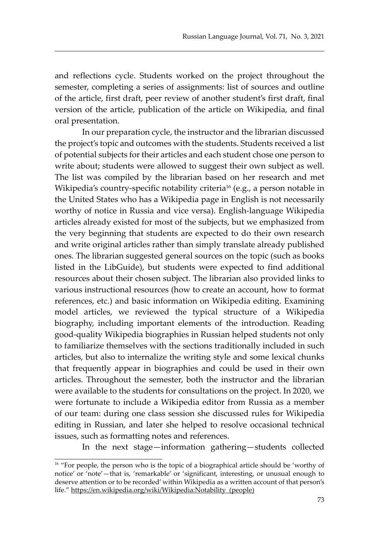and reflections cycle. Students worked on the project throughout the semester, completing a series of assignments: list of sources and outline of the article, first draft, peer review of another student's first draft, final version of the article, publication of the article on Wikipedia, and final oral presentation.

In our preparation cycle, the instructor and the librarian discussed the project's topic and outcomes with the students. Students received a list of potential subjects for their articles and each student chose one person to write about; students were allowed to suggest their own subject as well. The list was compiled by the librarian based on her research and met Wikipedia's country-specific notability criteria<sup>16</sup> (e.g., a person notable in the United States who has a Wikipedia page in English is not necessarily worthy of notice in Russia and vice versa). English-language Wikipedia articles already existed for most of the subjects, but we emphasized from the very beginning that students are expected to do their own research and write original articles rather than simply translate already published ones. The librarian suggested general sources on the topic (such as books listed in the LibGuide), but students were expected to find additional resources about their chosen subject. The librarian also provided links to various instructional resources (how to create an account, how to format references, etc.) and basic information on Wikipedia editing. Examining model articles, we reviewed the typical structure of a Wikipedia biography, including important elements of the introduction. Reading good-quality Wikipedia biographies in Russian helped students not only to familiarize themselves with the sections traditionally included in such articles, but also to internalize the writing style and some lexical chunks that frequently appear in biographies and could be used in their own articles. Throughout the semester, both the instructor and the librarian were available to the students for consultations on the project. In 2020, we were fortunate to include a Wikipedia editor from Russia as a member of our team: during one class session she discussed rules for Wikipedia editing in Russian, and later she helped to resolve occasional technical issues, such as formatting notes and references.

In the next stage—information gathering—students collected

<sup>&</sup>lt;sup>16</sup> "For people, the person who is the topic of a biographical article should be 'worthy of notice' or 'note'—that is, 'remarkable' or 'significant, interesting, or unusual enough to deserve attention or to be recorded' within Wikipedia as a written account of that person's life." https://en.wikipedia.org/wiki/Wikipedia:Notability\_(people)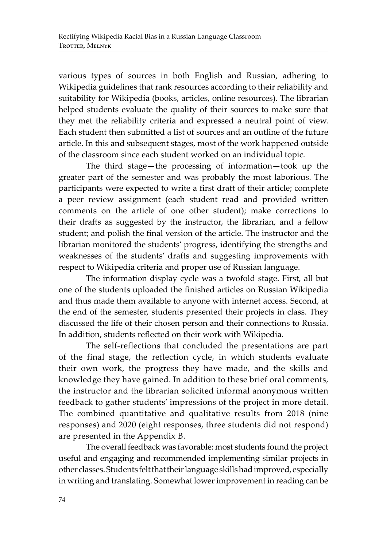various types of sources in both English and Russian, adhering to Wikipedia guidelines that rank resources according to their reliability and suitability for Wikipedia (books, articles, online resources). The librarian helped students evaluate the quality of their sources to make sure that they met the reliability criteria and expressed a neutral point of view. Each student then submitted a list of sources and an outline of the future article. In this and subsequent stages, most of the work happened outside of the classroom since each student worked on an individual topic.

The third stage—the processing of information—took up the greater part of the semester and was probably the most laborious. The participants were expected to write a first draft of their article; complete a peer review assignment (each student read and provided written comments on the article of one other student); make corrections to their drafts as suggested by the instructor, the librarian, and a fellow student; and polish the final version of the article. The instructor and the librarian monitored the students' progress, identifying the strengths and weaknesses of the students' drafts and suggesting improvements with respect to Wikipedia criteria and proper use of Russian language.

The information display cycle was a twofold stage. First, all but one of the students uploaded the finished articles on Russian Wikipedia and thus made them available to anyone with internet access. Second, at the end of the semester, students presented their projects in class. They discussed the life of their chosen person and their connections to Russia. In addition, students reflected on their work with Wikipedia.

The self-reflections that concluded the presentations are part of the final stage, the reflection cycle, in which students evaluate their own work, the progress they have made, and the skills and knowledge they have gained. In addition to these brief oral comments, the instructor and the librarian solicited informal anonymous written feedback to gather students' impressions of the project in more detail. The combined quantitative and qualitative results from 2018 (nine responses) and 2020 (eight responses, three students did not respond) are presented in the Appendix B.

The overall feedback was favorable: most students found the project useful and engaging and recommended implementing similar projects in other classes. Students felt that their language skills had improved, especially in writing and translating. Somewhat lower improvement in reading can be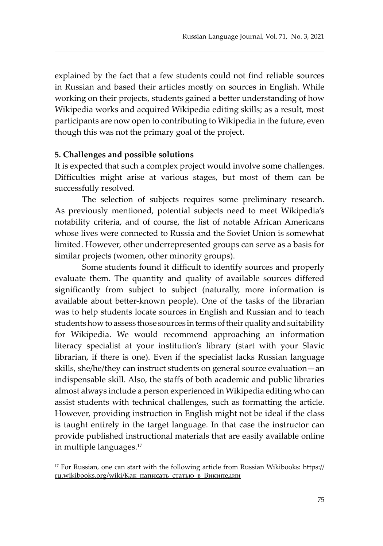explained by the fact that a few students could not find reliable sources in Russian and based their articles mostly on sources in English. While working on their projects, students gained a better understanding of how Wikipedia works and acquired Wikipedia editing skills; as a result, most participants are now open to contributing to Wikipedia in the future, even though this was not the primary goal of the project.

#### **5. Challenges and possible solutions**

It is expected that such a complex project would involve some challenges. Difficulties might arise at various stages, but most of them can be successfully resolved.

The selection of subjects requires some preliminary research. As previously mentioned, potential subjects need to meet Wikipedia's notability criteria, and of course, the list of notable African Americans whose lives were connected to Russia and the Soviet Union is somewhat limited. However, other underrepresented groups can serve as a basis for similar projects (women, other minority groups).

Some students found it difficult to identify sources and properly evaluate them. The quantity and quality of available sources differed significantly from subject to subject (naturally, more information is available about better-known people). One of the tasks of the librarian was to help students locate sources in English and Russian and to teach students how to assess those sources in terms of their quality and suitability for Wikipedia. We would recommend approaching an information literacy specialist at your institution's library (start with your Slavic librarian, if there is one). Even if the specialist lacks Russian language skills, she/he/they can instruct students on general source evaluation—an indispensable skill. Also, the staffs of both academic and public libraries almost always include a person experienced in Wikipedia editing who can assist students with technical challenges, such as formatting the article. However, providing instruction in English might not be ideal if the class is taught entirely in the target language. In that case the instructor can provide published instructional materials that are easily available online in multiple languages.<sup>17</sup>

<sup>&</sup>lt;sup>17</sup> For Russian, one can start with the following article from Russian Wikibooks:  $\frac{https://}{https://}$ ru.wikibooks.org/wiki/Как\_написать\_статью\_в\_Википедии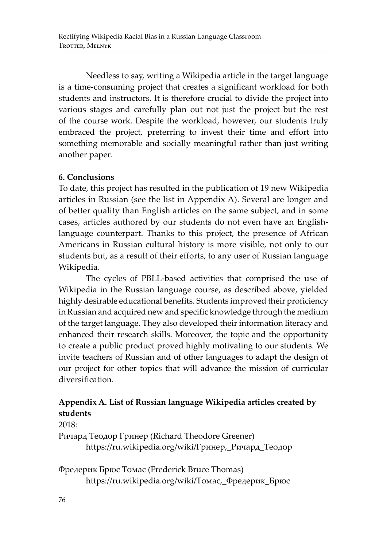Needless to say, writing a Wikipedia article in the target language is a time-consuming project that creates a significant workload for both students and instructors. It is therefore crucial to divide the project into various stages and carefully plan out not just the project but the rest of the course work. Despite the workload, however, our students truly embraced the project, preferring to invest their time and effort into something memorable and socially meaningful rather than just writing another paper.

## **6. Conclusions**

To date, this project has resulted in the publication of 19 new Wikipedia articles in Russian (see the list in Appendix A). Several are longer and of better quality than English articles on the same subject, and in some cases, articles authored by our students do not even have an Englishlanguage counterpart. Thanks to this project, the presence of African Americans in Russian cultural history is more visible, not only to our students but, as a result of their efforts, to any user of Russian language Wikipedia.

The cycles of PBLL-based activities that comprised the use of Wikipedia in the Russian language course, as described above, yielded highly desirable educational benefits. Students improved their proficiency in Russian and acquired new and specific knowledge through the medium of the target language. They also developed their information literacy and enhanced their research skills. Moreover, the topic and the opportunity to create a public product proved highly motivating to our students. We invite teachers of Russian and of other languages to adapt the design of our project for other topics that will advance the mission of curricular diversification.

## **Appendix A. List of Russian language Wikipedia articles created by students**

2018:

Ричард Теодор Гринер (Richard Theodore Greener) https://ru.wikipedia.org/wiki/Гринер,\_Ричард\_Теодор

Фредерик Брюс Томас (Frederick Bruce Thomas) https://ru.wikipedia.org/wiki/Томас,\_Фредерик\_Брюс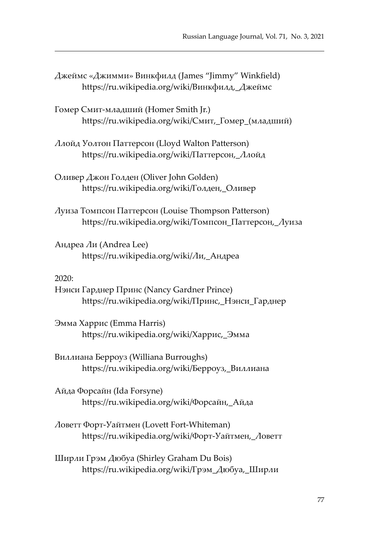- Джеймс «Джимми» Винкфилд (James "Jimmy" Winkfield) https://ru.wikipedia.org/wiki/Винкфилд,\_Джеймс
- Гомер Смит-младший (Homer Smith Jr.) https://ru.wikipedia.org/wiki/Смит,\_Гомер\_(младший)
- Ллойд Уолтон Паттерсон (Lloyd Walton Patterson) https://ru.wikipedia.org/wiki/Паттерсон,\_Ллойд
- Оливер Джон Голден (Oliver John Golden) https://ru.wikipedia.org/wiki/Голден,\_Оливер
- Луиза Томпсон Паттерсон (Louise Thompson Patterson) https://ru.wikipedia.org/wiki/Томпсон\_Паттерсон,\_Луиза
- Андреа Ли (Andrea Lee) https://ru.wikipedia.org/wiki/Ли,\_Андреа

#### 2020:

- Нэнси Гарднер Принс (Nancy Gardner Prince) https://ru.wikipedia.org/wiki/Принс,\_Нэнси\_Гарднер
- Эмма Харрис (Emma Harris) https://ru.wikipedia.org/wiki/Харрис,\_Эмма
- Виллиана Берроуз (Williana Burroughs) https://ru.wikipedia.org/wiki/Берроуз,\_Виллиана
- Айда Форсайн (Ida Forsyne) https://ru.wikipedia.org/wiki/Форсайн,\_Айда
- Ловетт Форт-Уайтмен (Lovett Fort-Whiteman) https://ru.wikipedia.org/wiki/Форт-Уайтмен,\_Ловетт
- Ширли Грэм Дюбуа (Shirley Graham Du Bois) https://ru.wikipedia.org/wiki/Грэм\_Дюбуа,\_Ширли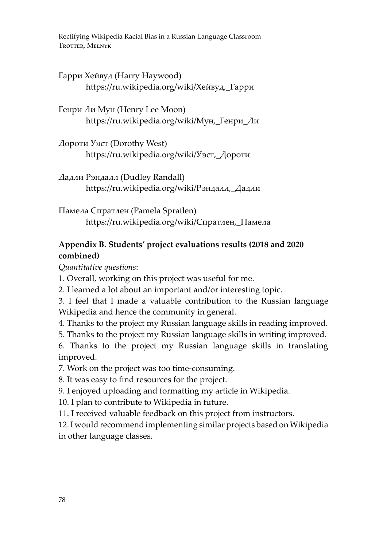| Гарри Хейвуд (Harry Haywood)<br>https://ru.wikipedia.org/wiki/Хейвуд,_Гарри         |
|-------------------------------------------------------------------------------------|
| Генри Ли Мун (Henry Lee Moon)<br>https://ru.wikipedia.org/wiki/Мун, Генри_Ли        |
| Дороти Уэст (Dorothy West)<br>https://ru.wikipedia.org/wiki/Уэст,_Дороти            |
| Дадли Рэндалл (Dudley Randall)<br>https://ru.wikipedia.org/wiki/Рэндалл,_Дадли      |
| Памела Спратлен (Pamela Spratlen)<br>https://ru.wikipedia.org/wiki/Спратлен, Памела |
| Appendix B. Students' project evaluations results (2018 a                           |

## **Appendix B. Students' project evaluations results (2018 and 2020 combined)**

*Quantitative questions*:

1. Overall, working on this project was useful for me.

2. I learned a lot about an important and/or interesting topic.

3. I feel that I made a valuable contribution to the Russian language Wikipedia and hence the community in general.

4. Thanks to the project my Russian language skills in reading improved.

5. Thanks to the project my Russian language skills in writing improved.

6. Thanks to the project my Russian language skills in translating improved.

7. Work on the project was too time-consuming.

8. It was easy to find resources for the project.

9. I enjoyed uploading and formatting my article in Wikipedia.

10. I plan to contribute to Wikipedia in future.

11. I received valuable feedback on this project from instructors.

12. I would recommend implementing similar projects based on Wikipedia in other language classes.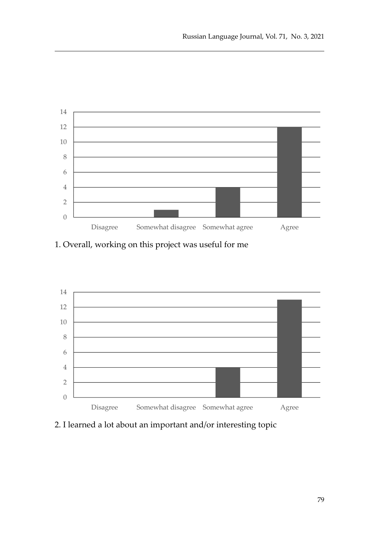

1. Overall, working on this project was useful for me



2. I learned a lot about an important and/or interesting topic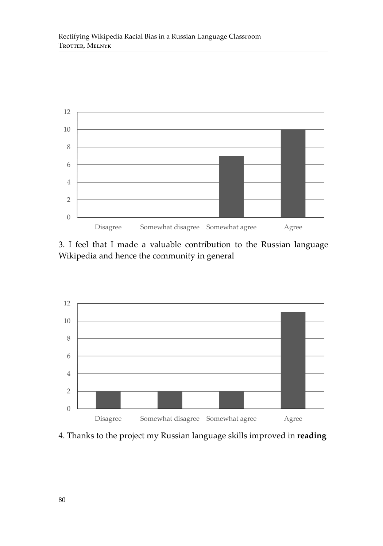

3. I feel that I made a valuable contribution to the Russian language Wikipedia and hence the community in general



4. Thanks to the project my Russian language skills improved in **reading**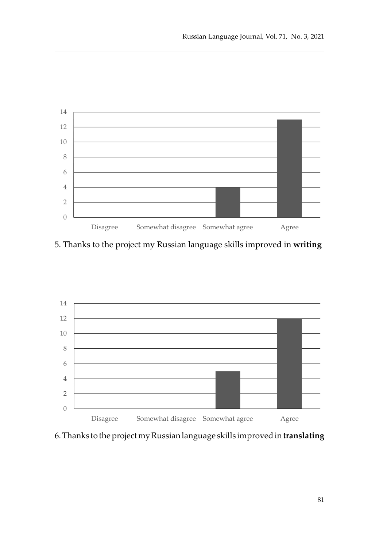

5. Thanks to the project my Russian language skills improved in **writing**



6. Thanks to the project my Russian language skills improved in **translating**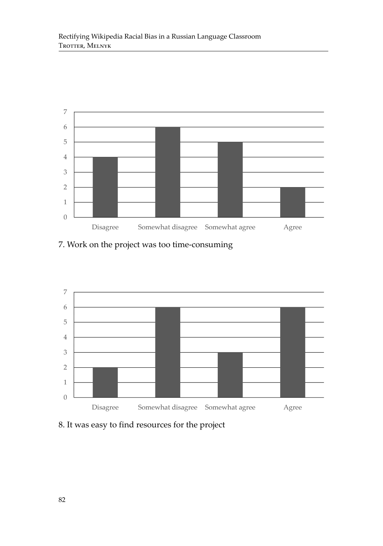

7. Work on the project was too time-consuming



8. It was easy to find resources for the project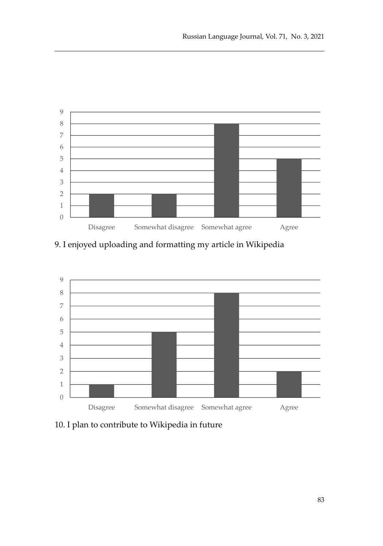

9. I enjoyed uploading and formatting my article in Wikipedia



10. I plan to contribute to Wikipedia in future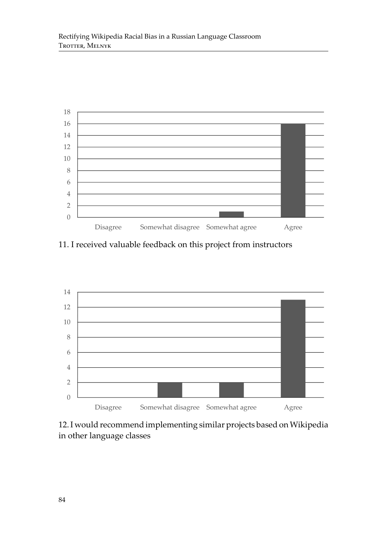

11. I received valuable feedback on this project from instructors



12. I would recommend implementing similar projects based on Wikipedia in other language classes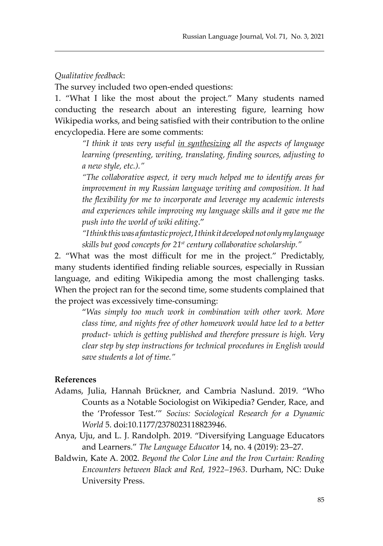#### *Qualitative feedback*:

The survey included two open-ended questions:

1. "What I like the most about the project." Many students named conducting the research about an interesting figure, learning how Wikipedia works, and being satisfied with their contribution to the online encyclopedia. Here are some comments:

*"I think it was very useful in synthesizing all the aspects of language learning (presenting, writing, translating, finding sources, adjusting to a new style, etc.)."*

*"The collaborative aspect, it very much helped me to identify areas for improvement in my Russian language writing and composition. It had the flexibility for me to incorporate and leverage my academic interests and experiences while improving my language skills and it gave me the push into the world of wiki editing*."

*"I think this was a fantastic project, I think it developed not only my language skills but good concepts for 21st century collaborative scholarship."*

2. "What was the most difficult for me in the project." Predictably, many students identified finding reliable sources, especially in Russian language, and editing Wikipedia among the most challenging tasks. When the project ran for the second time, some students complained that the project was excessively time-consuming:

> "*Was simply too much work in combination with other work. More class time, and nights free of other homework would have led to a better product- which is getting published and therefore pressure is high. Very clear step by step instructions for technical procedures in English would save students a lot of time."*

#### **References**

- Adams, Julia, Hannah Brückner, and Cambria Naslund. 2019. "Who Counts as a Notable Sociologist on Wikipedia? Gender, Race, and the 'Professor Test.'" *Socius: Sociological Research for a Dynamic World* 5. doi:10.1177/2378023118823946.
- Anya, Uju, and L. J. Randolph. 2019. "Diversifying Language Educators and Learners." *The Language Educator* 14, no. 4 (2019): 23–27.
- Baldwin, Kate A. 2002. *Beyond the Color Line and the Iron Curtain: Reading Encounters between Black and Red, 1922–1963*. Durham, NC: Duke University Press.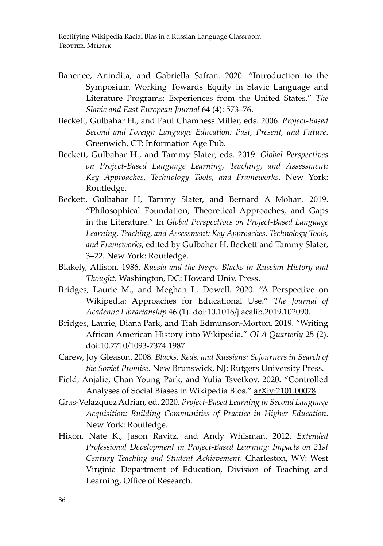- Banerjee, Anindita, and Gabriella Safran. 2020. "Introduction to the Symposium Working Towards Equity in Slavic Language and Literature Programs: Experiences from the United States." *The Slavic and East European Journal* 64 (4): 573–76.
- Beckett, Gulbahar H., and Paul Chamness Miller, eds. 2006. *Project-Based Second and Foreign Language Education: Past, Present, and Future*. Greenwich, CT: Information Age Pub.
- Beckett, Gulbahar H., and Tammy Slater, eds. 2019. *Global Perspectives on Project-Based Language Learning, Teaching, and Assessment: Key Approaches, Technology Tools, and Frameworks*. New York: Routledge.
- Beckett, Gulbahar H, Tammy Slater, and Bernard A Mohan. 2019. "Philosophical Foundation, Theoretical Approaches, and Gaps in the Literature." In *Global Perspectives on Project-Based Language Learning, Teaching, and Assessment: Key Approaches, Technology Tools, and Frameworks*, edited by Gulbahar H. Beckett and Tammy Slater, 3–22. New York: Routledge.
- Blakely, Allison. 1986. *Russia and the Negro Blacks in Russian History and Thought*. Washington, DC: Howard Univ. Press.
- Bridges, Laurie M., and Meghan L. Dowell. 2020. "A Perspective on Wikipedia: Approaches for Educational Use." *The Journal of Academic Librarianship* 46 (1). doi:10.1016/j.acalib.2019.102090.
- Bridges, Laurie, Diana Park, and Tiah Edmunson-Morton. 2019. "Writing African American History into Wikipedia." *OLA Quarterly* 25 (2). doi:10.7710/1093-7374.1987.
- Carew, Joy Gleason. 2008. *Blacks, Reds, and Russians: Sojourners in Search of the Soviet Promise*. New Brunswick, NJ: Rutgers University Press.
- Field, Anjalie, Chan Young Park, and Yulia Tsvetkov. 2020. "Controlled Analyses of Social Biases in Wikipedia Bios." arXiv:2101.00078
- Gras-Velázquez Adrián, ed. 2020. *Project-Based Learning in Second Language Acquisition: Building Communities of Practice in Higher Education*. New York: Routledge.
- Hixon, Nate K., Jason Ravitz, and Andy Whisman. 2012. *Extended Professional Development in Project-Based Learning: Impacts on 21st Century Teaching and Student Achievement.* Charleston, WV: West Virginia Department of Education, Division of Teaching and Learning, Office of Research.